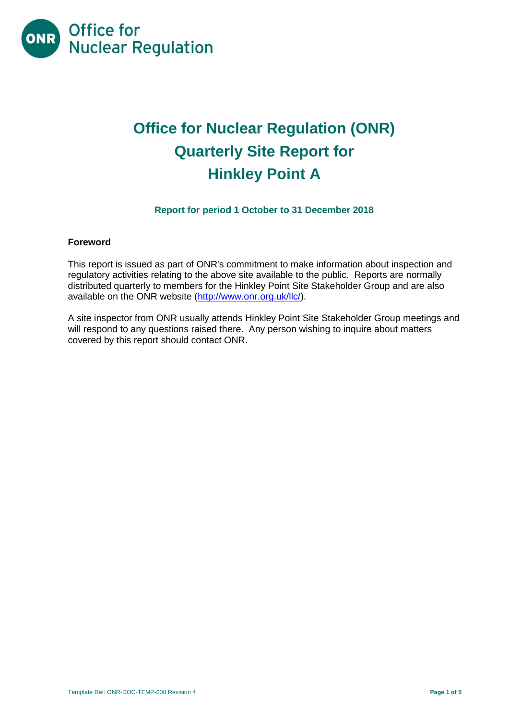

# **Office for Nuclear Regulation (ONR) Quarterly Site Report for Hinkley Point A**

# **Report for period 1 October to 31 December 2018**

# **Foreword**

This report is issued as part of ONR's commitment to make information about inspection and regulatory activities relating to the above site available to the public. Reports are normally distributed quarterly to members for the Hinkley Point Site Stakeholder Group and are also available on the ONR website [\(http://www.onr.org.uk/llc/\)](http://www.onr.org.uk/llc/).

A site inspector from ONR usually attends Hinkley Point Site Stakeholder Group meetings and will respond to any questions raised there. Any person wishing to inquire about matters covered by this report should contact ONR.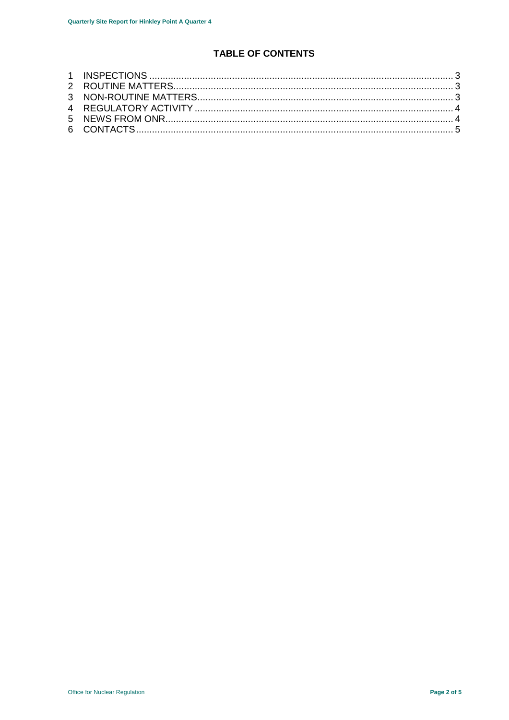# TABLE OF CONTENTS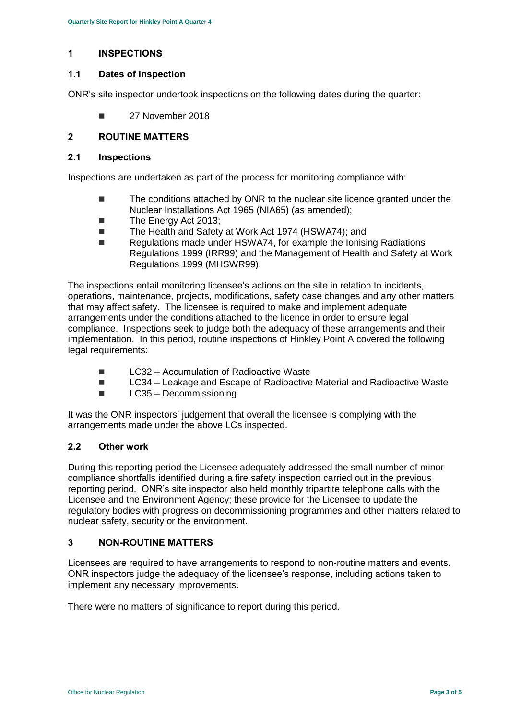# <span id="page-2-0"></span>**1 INSPECTIONS**

# **1.1 Dates of inspection**

ONR's site inspector undertook inspections on the following dates during the quarter:

**27 November 2018** 

# <span id="page-2-1"></span>**2 ROUTINE MATTERS**

#### **2.1 Inspections**

Inspections are undertaken as part of the process for monitoring compliance with:

- The conditions attached by ONR to the nuclear site licence granted under the Nuclear Installations Act 1965 (NIA65) (as amended);
- The Energy Act 2013:
- The Health and Safety at Work Act 1974 (HSWA74); and
- Regulations made under HSWA74, for example the Ionising Radiations Regulations 1999 (IRR99) and the Management of Health and Safety at Work Regulations 1999 (MHSWR99).

The inspections entail monitoring licensee's actions on the site in relation to incidents, operations, maintenance, projects, modifications, safety case changes and any other matters that may affect safety. The licensee is required to make and implement adequate arrangements under the conditions attached to the licence in order to ensure legal compliance. Inspections seek to judge both the adequacy of these arrangements and their implementation. In this period, routine inspections of Hinkley Point A covered the following legal requirements:

- $\Box$  LC32 Accumulation of Radioactive Waste
- LC34 Leakage and Escape of Radioactive Material and Radioactive Waste
- LC35 Decommissioning

It was the ONR inspectors' judgement that overall the licensee is complying with the arrangements made under the above LCs inspected.

#### **2.2 Other work**

During this reporting period the Licensee adequately addressed the small number of minor compliance shortfalls identified during a fire safety inspection carried out in the previous reporting period. ONR's site inspector also held monthly tripartite telephone calls with the Licensee and the Environment Agency; these provide for the Licensee to update the regulatory bodies with progress on decommissioning programmes and other matters related to nuclear safety, security or the environment.

# <span id="page-2-2"></span>**3 NON-ROUTINE MATTERS**

Licensees are required to have arrangements to respond to non-routine matters and events. ONR inspectors judge the adequacy of the licensee's response, including actions taken to implement any necessary improvements.

<span id="page-2-3"></span>There were no matters of significance to report during this period.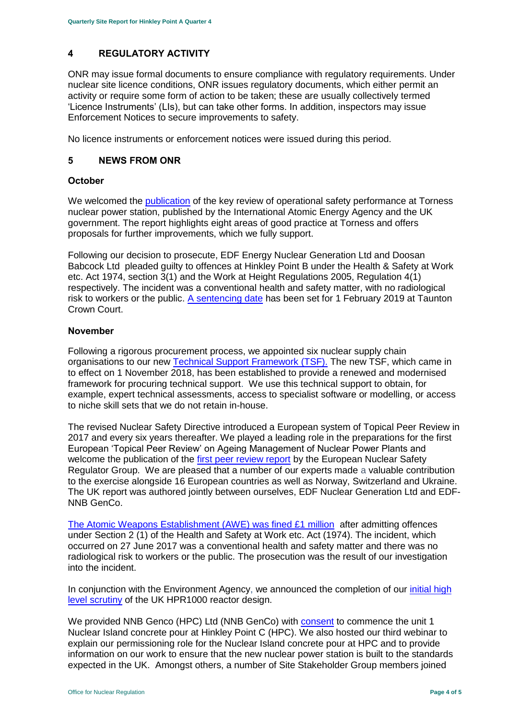# **4 REGULATORY ACTIVITY**

ONR may issue formal documents to ensure compliance with regulatory requirements. Under nuclear site licence conditions, ONR issues regulatory documents, which either permit an activity or require some form of action to be taken; these are usually collectively termed 'Licence Instruments' (LIs), but can take other forms. In addition, inspectors may issue Enforcement Notices to secure improvements to safety.

No licence instruments or enforcement notices were issued during this period.

# <span id="page-3-0"></span>**5 NEWS FROM ONR**

#### **October**

We welcomed the [publication](http://news.onr.org.uk/2018/10/iaea-review-torness-power-station/) of the key review of operational safety performance at Torness nuclear power station, published by the International Atomic Energy Agency and the UK government. The report highlights eight areas of good practice at Torness and offers proposals for further improvements, which we fully support.

Following our decision to prosecute, EDF Energy Nuclear Generation Ltd and Doosan Babcock Ltd pleaded guilty to offences at Hinkley Point B under the Health & Safety at Work etc. Act 1974, section 3(1) and the Work at Height Regulations 2005, Regulation 4(1) respectively. The incident was a conventional health and safety matter, with no radiological risk to workers or the public. [A sentencing date](http://news.onr.org.uk/2018/10/edf-and-doosan-babcock-plead-guilty/) has been set for 1 February 2019 at Taunton Crown Court.

#### **November**

Following a rigorous procurement process, we appointed six nuclear supply chain organisations to our new [Technical Support Framework \(TSF\).](http://news.onr.org.uk/2018/11/new-technical-support-framework-announced/) The new TSF, which came in to effect on 1 November 2018, has been established to provide a renewed and modernised framework for procuring technical support. We use this technical support to obtain, for example, expert technical assessments, access to specialist software or modelling, or access to niche skill sets that we do not retain in-house.

The revised Nuclear Safety Directive introduced a European system of Topical Peer Review in 2017 and every six years thereafter. We played a leading role in the preparations for the first European 'Topical Peer Review' on Ageing Management of Nuclear Power Plants and welcome the publication of the [first peer review report](http://news.onr.org.uk/2018/11/onr-welcomes-first-topical-peer-review/) by the European Nuclear Safety Regulator Group. We are pleased that a number of our experts made a valuable contribution to the exercise alongside 16 European countries as well as Norway, Switzerland and Ukraine. The UK report was authored jointly between ourselves, EDF Nuclear Generation Ltd and EDF-NNB GenCo.

[The Atomic Weapons Establishment \(AWE\) was fined £1 million](http://news.onr.org.uk/2018/11/awe-prosecution-reaction/) after admitting offences under Section 2 (1) of the Health and Safety at Work etc. Act (1974). The incident, which occurred on 27 June 2017 was a conventional health and safety matter and there was no radiological risk to workers or the public. The prosecution was the result of our investigation into the incident.

In conjunction with the Environment Agency, we announced the completion of our [initial high](http://news.onr.org.uk/2018/11/uk-hpr1000-completes-gda-step-2/)  [level scrutiny](http://news.onr.org.uk/2018/11/uk-hpr1000-completes-gda-step-2/) of the UK HPR1000 reactor design.

We provided NNB Genco (HPC) Ltd (NNB GenCo) with **consent** to commence the unit 1 Nuclear Island concrete pour at Hinkley Point C (HPC). We also hosted our third webinar to explain our permissioning role for the Nuclear Island concrete pour at HPC and to provide information on our work to ensure that the new nuclear power station is built to the standards expected in the UK. Amongst others, a number of Site Stakeholder Group members joined